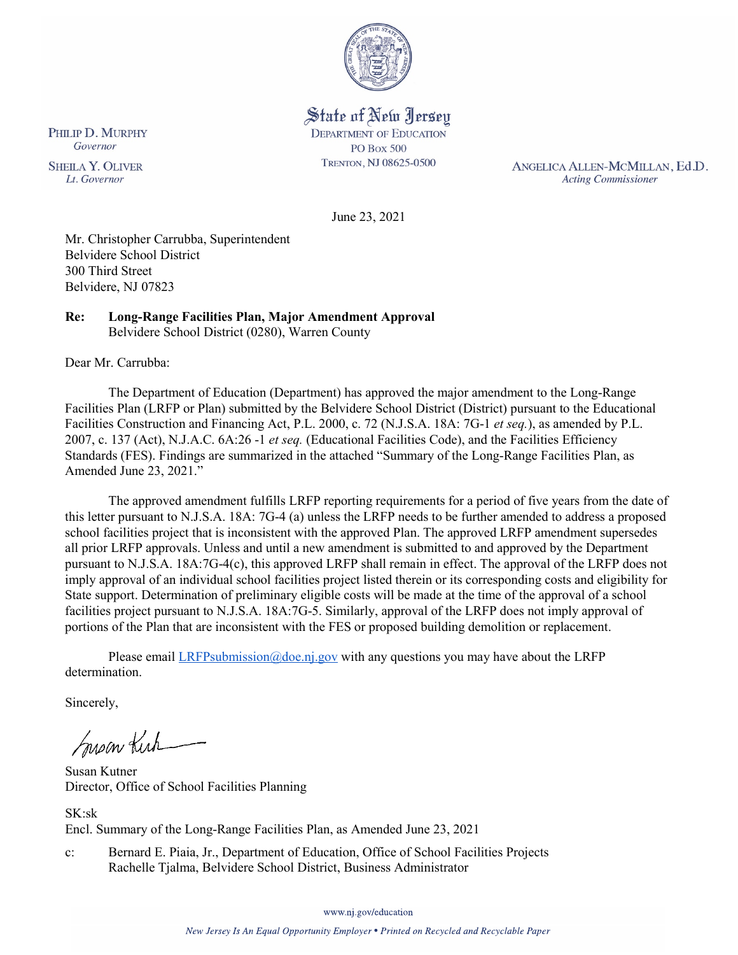

State of New Jersey **DEPARTMENT OF EDUCATION PO Box 500** TRENTON, NJ 08625-0500

ANGELICA ALLEN-MCMILLAN, Ed.D. **Acting Commissioner** 

June 23, 2021

Mr. Christopher Carrubba, Superintendent Belvidere School District 300 Third Street Belvidere, NJ 07823

#### **Re: Long-Range Facilities Plan, Major Amendment Approval**  Belvidere School District (0280), Warren County

Dear Mr. Carrubba:

The Department of Education (Department) has approved the major amendment to the Long-Range Facilities Plan (LRFP or Plan) submitted by the Belvidere School District (District) pursuant to the Educational Facilities Construction and Financing Act, P.L. 2000, c. 72 (N.J.S.A. 18A: 7G-1 *et seq.*), as amended by P.L. 2007, c. 137 (Act), N.J.A.C. 6A:26 -1 *et seq.* (Educational Facilities Code), and the Facilities Efficiency Standards (FES). Findings are summarized in the attached "Summary of the Long-Range Facilities Plan, as Amended June 23, 2021."

The approved amendment fulfills LRFP reporting requirements for a period of five years from the date of this letter pursuant to N.J.S.A. 18A: 7G-4 (a) unless the LRFP needs to be further amended to address a proposed school facilities project that is inconsistent with the approved Plan. The approved LRFP amendment supersedes all prior LRFP approvals. Unless and until a new amendment is submitted to and approved by the Department pursuant to N.J.S.A. 18A:7G-4(c), this approved LRFP shall remain in effect. The approval of the LRFP does not imply approval of an individual school facilities project listed therein or its corresponding costs and eligibility for State support. Determination of preliminary eligible costs will be made at the time of the approval of a school facilities project pursuant to N.J.S.A. 18A:7G-5. Similarly, approval of the LRFP does not imply approval of portions of the Plan that are inconsistent with the FES or proposed building demolition or replacement.

Please email *LRFPsubmission@doe.nj.gov* with any questions you may have about the LRFP determination.

Sincerely,

Susan Kich

Susan Kutner Director, Office of School Facilities Planning

SK:sk Encl. Summary of the Long-Range Facilities Plan, as Amended June 23, 2021

c: Bernard E. Piaia, Jr., Department of Education, Office of School Facilities Projects Rachelle Tjalma, Belvidere School District, Business Administrator

PHILIP D. MURPHY Governor

**SHEILA Y. OLIVER** Lt. Governor

www.nj.gov/education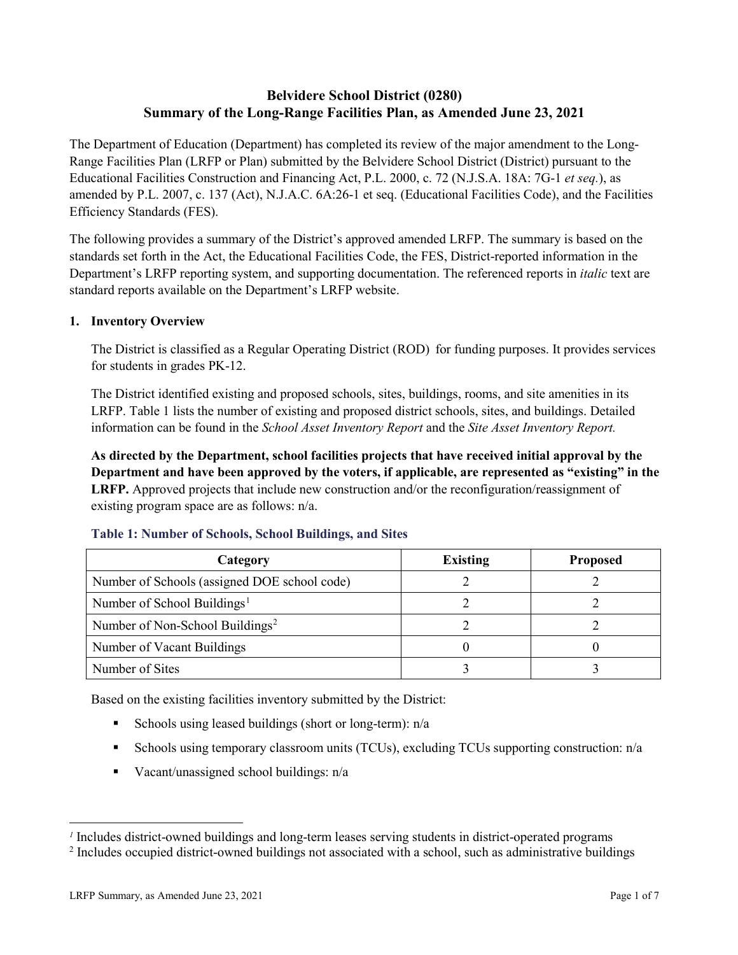# **Belvidere School District (0280) Summary of the Long-Range Facilities Plan, as Amended June 23, 2021**

The Department of Education (Department) has completed its review of the major amendment to the Long-Range Facilities Plan (LRFP or Plan) submitted by the Belvidere School District (District) pursuant to the Educational Facilities Construction and Financing Act, P.L. 2000, c. 72 (N.J.S.A. 18A: 7G-1 *et seq.*), as amended by P.L. 2007, c. 137 (Act), N.J.A.C. 6A:26-1 et seq. (Educational Facilities Code), and the Facilities Efficiency Standards (FES).

The following provides a summary of the District's approved amended LRFP. The summary is based on the standards set forth in the Act, the Educational Facilities Code, the FES, District-reported information in the Department's LRFP reporting system, and supporting documentation. The referenced reports in *italic* text are standard reports available on the Department's LRFP website.

#### **1. Inventory Overview**

The District is classified as a Regular Operating District (ROD) for funding purposes. It provides services for students in grades PK-12.

The District identified existing and proposed schools, sites, buildings, rooms, and site amenities in its LRFP. Table 1 lists the number of existing and proposed district schools, sites, and buildings. Detailed information can be found in the *School Asset Inventory Report* and the *Site Asset Inventory Report.*

**As directed by the Department, school facilities projects that have received initial approval by the Department and have been approved by the voters, if applicable, are represented as "existing" in the LRFP.** Approved projects that include new construction and/or the reconfiguration/reassignment of existing program space are as follows: n/a.

| Category                                     | <b>Existing</b> | <b>Proposed</b> |
|----------------------------------------------|-----------------|-----------------|
| Number of Schools (assigned DOE school code) |                 |                 |
| Number of School Buildings <sup>1</sup>      |                 |                 |
| Number of Non-School Buildings <sup>2</sup>  |                 |                 |
| Number of Vacant Buildings                   |                 |                 |
| Number of Sites                              |                 |                 |

#### **Table 1: Number of Schools, School Buildings, and Sites**

Based on the existing facilities inventory submitted by the District:

- Schools using leased buildings (short or long-term):  $n/a$
- Schools using temporary classroom units (TCUs), excluding TCUs supporting construction: n/a
- Vacant/unassigned school buildings:  $n/a$

 $\overline{a}$ 

<span id="page-1-1"></span><span id="page-1-0"></span>*<sup>1</sup>* Includes district-owned buildings and long-term leases serving students in district-operated programs

<sup>&</sup>lt;sup>2</sup> Includes occupied district-owned buildings not associated with a school, such as administrative buildings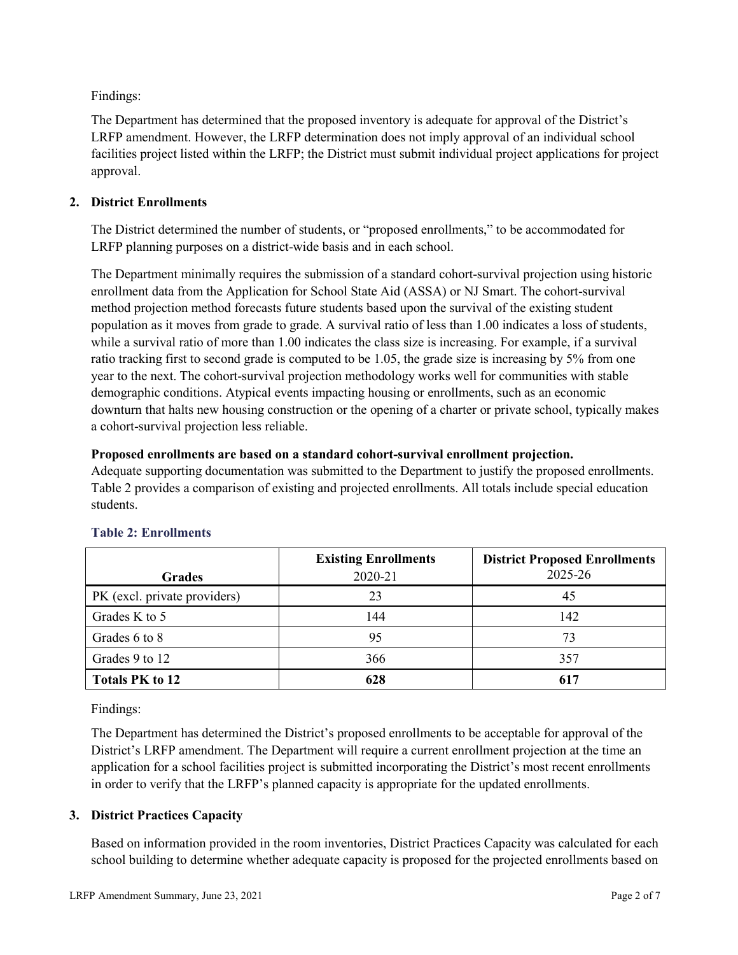Findings:

The Department has determined that the proposed inventory is adequate for approval of the District's LRFP amendment. However, the LRFP determination does not imply approval of an individual school facilities project listed within the LRFP; the District must submit individual project applications for project approval.

# **2. District Enrollments**

The District determined the number of students, or "proposed enrollments," to be accommodated for LRFP planning purposes on a district-wide basis and in each school.

The Department minimally requires the submission of a standard cohort-survival projection using historic enrollment data from the Application for School State Aid (ASSA) or NJ Smart. The cohort-survival method projection method forecasts future students based upon the survival of the existing student population as it moves from grade to grade. A survival ratio of less than 1.00 indicates a loss of students, while a survival ratio of more than 1.00 indicates the class size is increasing. For example, if a survival ratio tracking first to second grade is computed to be 1.05, the grade size is increasing by 5% from one year to the next. The cohort-survival projection methodology works well for communities with stable demographic conditions. Atypical events impacting housing or enrollments, such as an economic downturn that halts new housing construction or the opening of a charter or private school, typically makes a cohort-survival projection less reliable.

#### **Proposed enrollments are based on a standard cohort-survival enrollment projection.**

Adequate supporting documentation was submitted to the Department to justify the proposed enrollments. Table 2 provides a comparison of existing and projected enrollments. All totals include special education students.

|                              | <b>Existing Enrollments</b> | <b>District Proposed Enrollments</b> |
|------------------------------|-----------------------------|--------------------------------------|
| <b>Grades</b>                | 2020-21                     | 2025-26                              |
| PK (excl. private providers) | 23                          | 45                                   |
| Grades K to 5                | 144                         | 142                                  |
| Grades 6 to 8                | 95                          | 73                                   |
| Grades 9 to 12               | 366                         | 357                                  |
| <b>Totals PK to 12</b>       | 628                         | 617                                  |

# **Table 2: Enrollments**

Findings:

The Department has determined the District's proposed enrollments to be acceptable for approval of the District's LRFP amendment. The Department will require a current enrollment projection at the time an application for a school facilities project is submitted incorporating the District's most recent enrollments in order to verify that the LRFP's planned capacity is appropriate for the updated enrollments.

# **3. District Practices Capacity**

Based on information provided in the room inventories, District Practices Capacity was calculated for each school building to determine whether adequate capacity is proposed for the projected enrollments based on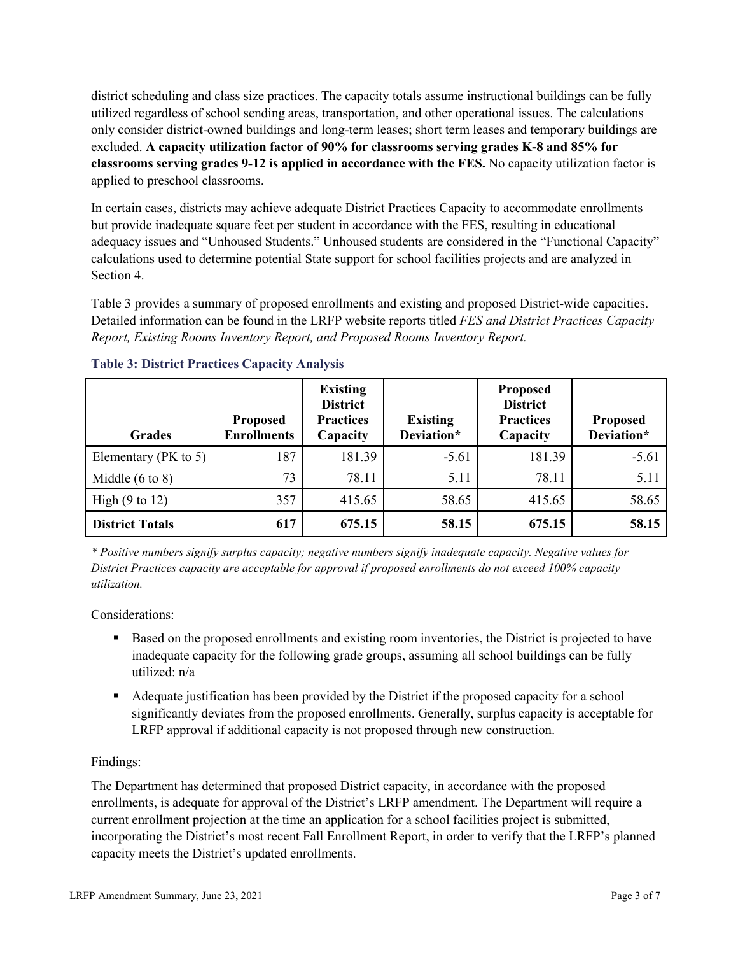district scheduling and class size practices. The capacity totals assume instructional buildings can be fully utilized regardless of school sending areas, transportation, and other operational issues. The calculations only consider district-owned buildings and long-term leases; short term leases and temporary buildings are excluded. **A capacity utilization factor of 90% for classrooms serving grades K-8 and 85% for classrooms serving grades 9-12 is applied in accordance with the FES.** No capacity utilization factor is applied to preschool classrooms.

In certain cases, districts may achieve adequate District Practices Capacity to accommodate enrollments but provide inadequate square feet per student in accordance with the FES, resulting in educational adequacy issues and "Unhoused Students." Unhoused students are considered in the "Functional Capacity" calculations used to determine potential State support for school facilities projects and are analyzed in Section 4.

Table 3 provides a summary of proposed enrollments and existing and proposed District-wide capacities. Detailed information can be found in the LRFP website reports titled *FES and District Practices Capacity Report, Existing Rooms Inventory Report, and Proposed Rooms Inventory Report.*

| <b>Grades</b>              | <b>Proposed</b><br><b>Enrollments</b> | <b>Existing</b><br><b>District</b><br><b>Practices</b><br>Capacity | <b>Existing</b><br>Deviation* | <b>Proposed</b><br><b>District</b><br><b>Practices</b><br>Capacity | <b>Proposed</b><br>Deviation* |
|----------------------------|---------------------------------------|--------------------------------------------------------------------|-------------------------------|--------------------------------------------------------------------|-------------------------------|
| Elementary ( $PK$ to 5)    | 187                                   | 181.39                                                             | $-5.61$                       | 181.39                                                             | $-5.61$                       |
| Middle $(6 \text{ to } 8)$ | 73                                    | 78.11                                                              | 5.11                          | 78.11                                                              | 5.11                          |
| High $(9 \text{ to } 12)$  | 357                                   | 415.65                                                             | 58.65                         | 415.65                                                             | 58.65                         |
| <b>District Totals</b>     | 617                                   | 675.15                                                             | 58.15                         | 675.15                                                             | 58.15                         |

# **Table 3: District Practices Capacity Analysis**

*\* Positive numbers signify surplus capacity; negative numbers signify inadequate capacity. Negative values for District Practices capacity are acceptable for approval if proposed enrollments do not exceed 100% capacity utilization.*

Considerations:

- Based on the proposed enrollments and existing room inventories, the District is projected to have inadequate capacity for the following grade groups, assuming all school buildings can be fully utilized: n/a
- Adequate justification has been provided by the District if the proposed capacity for a school significantly deviates from the proposed enrollments. Generally, surplus capacity is acceptable for LRFP approval if additional capacity is not proposed through new construction.

# Findings:

The Department has determined that proposed District capacity, in accordance with the proposed enrollments, is adequate for approval of the District's LRFP amendment. The Department will require a current enrollment projection at the time an application for a school facilities project is submitted, incorporating the District's most recent Fall Enrollment Report, in order to verify that the LRFP's planned capacity meets the District's updated enrollments.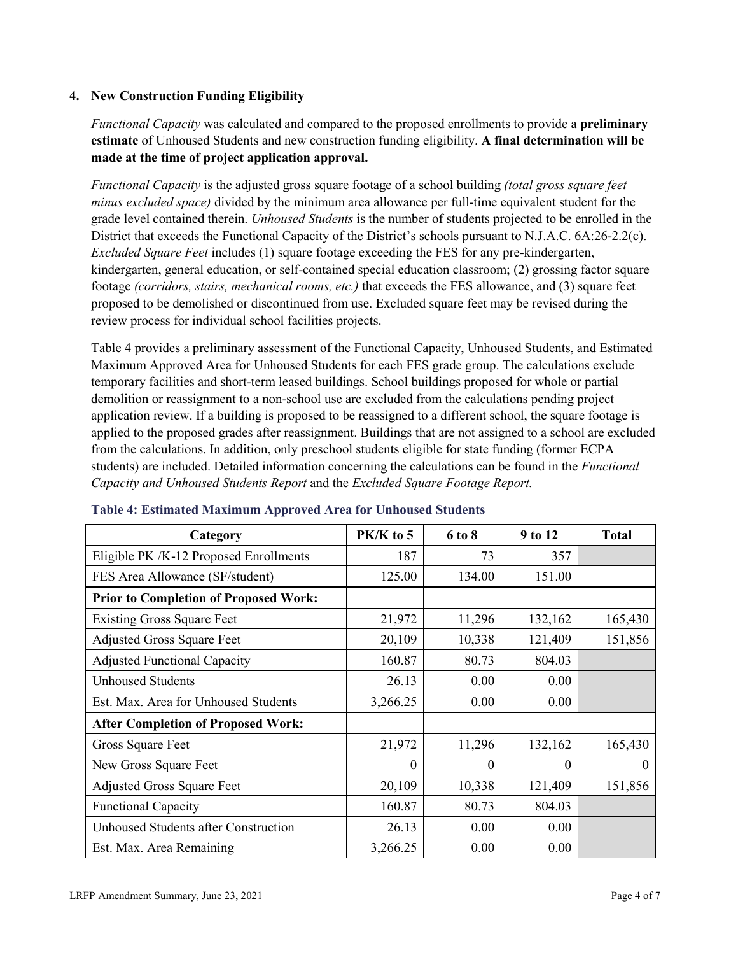# **4. New Construction Funding Eligibility**

*Functional Capacity* was calculated and compared to the proposed enrollments to provide a **preliminary estimate** of Unhoused Students and new construction funding eligibility. **A final determination will be made at the time of project application approval.**

*Functional Capacity* is the adjusted gross square footage of a school building *(total gross square feet minus excluded space)* divided by the minimum area allowance per full-time equivalent student for the grade level contained therein. *Unhoused Students* is the number of students projected to be enrolled in the District that exceeds the Functional Capacity of the District's schools pursuant to N.J.A.C. 6A:26-2.2(c). *Excluded Square Feet* includes (1) square footage exceeding the FES for any pre-kindergarten, kindergarten, general education, or self-contained special education classroom; (2) grossing factor square footage *(corridors, stairs, mechanical rooms, etc.)* that exceeds the FES allowance, and (3) square feet proposed to be demolished or discontinued from use. Excluded square feet may be revised during the review process for individual school facilities projects.

Table 4 provides a preliminary assessment of the Functional Capacity, Unhoused Students, and Estimated Maximum Approved Area for Unhoused Students for each FES grade group. The calculations exclude temporary facilities and short-term leased buildings. School buildings proposed for whole or partial demolition or reassignment to a non-school use are excluded from the calculations pending project application review. If a building is proposed to be reassigned to a different school, the square footage is applied to the proposed grades after reassignment. Buildings that are not assigned to a school are excluded from the calculations. In addition, only preschool students eligible for state funding (former ECPA students) are included. Detailed information concerning the calculations can be found in the *Functional Capacity and Unhoused Students Report* and the *Excluded Square Footage Report.*

| Category                                     | PK/K to 5 | 6 to 8 | 9 to 12  | <b>Total</b> |
|----------------------------------------------|-----------|--------|----------|--------------|
| Eligible PK /K-12 Proposed Enrollments       | 187       | 73     | 357      |              |
| FES Area Allowance (SF/student)              | 125.00    | 134.00 | 151.00   |              |
| <b>Prior to Completion of Proposed Work:</b> |           |        |          |              |
| <b>Existing Gross Square Feet</b>            | 21,972    | 11,296 | 132,162  | 165,430      |
| <b>Adjusted Gross Square Feet</b>            | 20,109    | 10,338 | 121,409  | 151,856      |
| <b>Adjusted Functional Capacity</b>          | 160.87    | 80.73  | 804.03   |              |
| <b>Unhoused Students</b>                     | 26.13     | 0.00   | 0.00     |              |
| Est. Max. Area for Unhoused Students         | 3,266.25  | 0.00   | 0.00     |              |
| <b>After Completion of Proposed Work:</b>    |           |        |          |              |
| Gross Square Feet                            | 21,972    | 11,296 | 132,162  | 165,430      |
| New Gross Square Feet                        | $\theta$  | 0      | $\theta$ | $\Omega$     |
| <b>Adjusted Gross Square Feet</b>            | 20,109    | 10,338 | 121,409  | 151,856      |
| <b>Functional Capacity</b>                   | 160.87    | 80.73  | 804.03   |              |
| <b>Unhoused Students after Construction</b>  | 26.13     | 0.00   | 0.00     |              |
| Est. Max. Area Remaining                     | 3,266.25  | 0.00   | 0.00     |              |

#### **Table 4: Estimated Maximum Approved Area for Unhoused Students**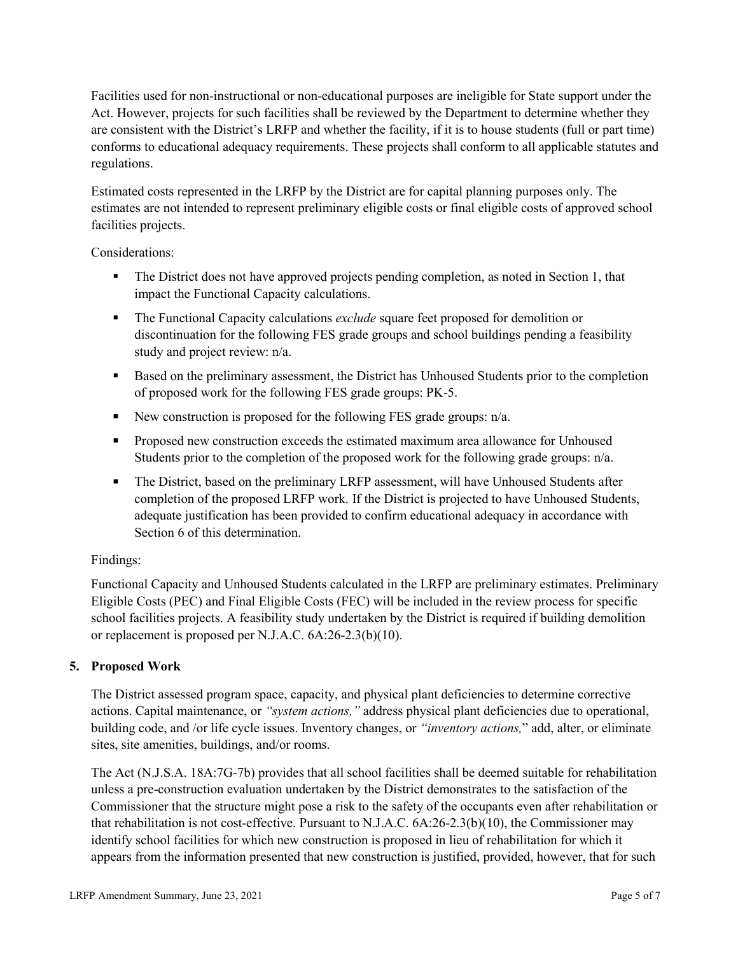Facilities used for non-instructional or non-educational purposes are ineligible for State support under the Act. However, projects for such facilities shall be reviewed by the Department to determine whether they are consistent with the District's LRFP and whether the facility, if it is to house students (full or part time) conforms to educational adequacy requirements. These projects shall conform to all applicable statutes and regulations.

Estimated costs represented in the LRFP by the District are for capital planning purposes only. The estimates are not intended to represent preliminary eligible costs or final eligible costs of approved school facilities projects.

Considerations:

- The District does not have approved projects pending completion, as noted in Section 1, that impact the Functional Capacity calculations.
- **The Functional Capacity calculations** *exclude* square feet proposed for demolition or discontinuation for the following FES grade groups and school buildings pending a feasibility study and project review: n/a.
- Based on the preliminary assessment, the District has Unhoused Students prior to the completion of proposed work for the following FES grade groups: PK-5.
- New construction is proposed for the following FES grade groups: n/a.
- Proposed new construction exceeds the estimated maximum area allowance for Unhoused Students prior to the completion of the proposed work for the following grade groups: n/a.
- The District, based on the preliminary LRFP assessment, will have Unhoused Students after completion of the proposed LRFP work. If the District is projected to have Unhoused Students, adequate justification has been provided to confirm educational adequacy in accordance with Section 6 of this determination.

# Findings:

Functional Capacity and Unhoused Students calculated in the LRFP are preliminary estimates. Preliminary Eligible Costs (PEC) and Final Eligible Costs (FEC) will be included in the review process for specific school facilities projects. A feasibility study undertaken by the District is required if building demolition or replacement is proposed per N.J.A.C. 6A:26-2.3(b)(10).

# **5. Proposed Work**

The District assessed program space, capacity, and physical plant deficiencies to determine corrective actions. Capital maintenance, or *"system actions,"* address physical plant deficiencies due to operational, building code, and /or life cycle issues. Inventory changes, or *"inventory actions,*" add, alter, or eliminate sites, site amenities, buildings, and/or rooms.

The Act (N.J.S.A. 18A:7G-7b) provides that all school facilities shall be deemed suitable for rehabilitation unless a pre-construction evaluation undertaken by the District demonstrates to the satisfaction of the Commissioner that the structure might pose a risk to the safety of the occupants even after rehabilitation or that rehabilitation is not cost-effective. Pursuant to N.J.A.C. 6A:26-2.3(b)(10), the Commissioner may identify school facilities for which new construction is proposed in lieu of rehabilitation for which it appears from the information presented that new construction is justified, provided, however, that for such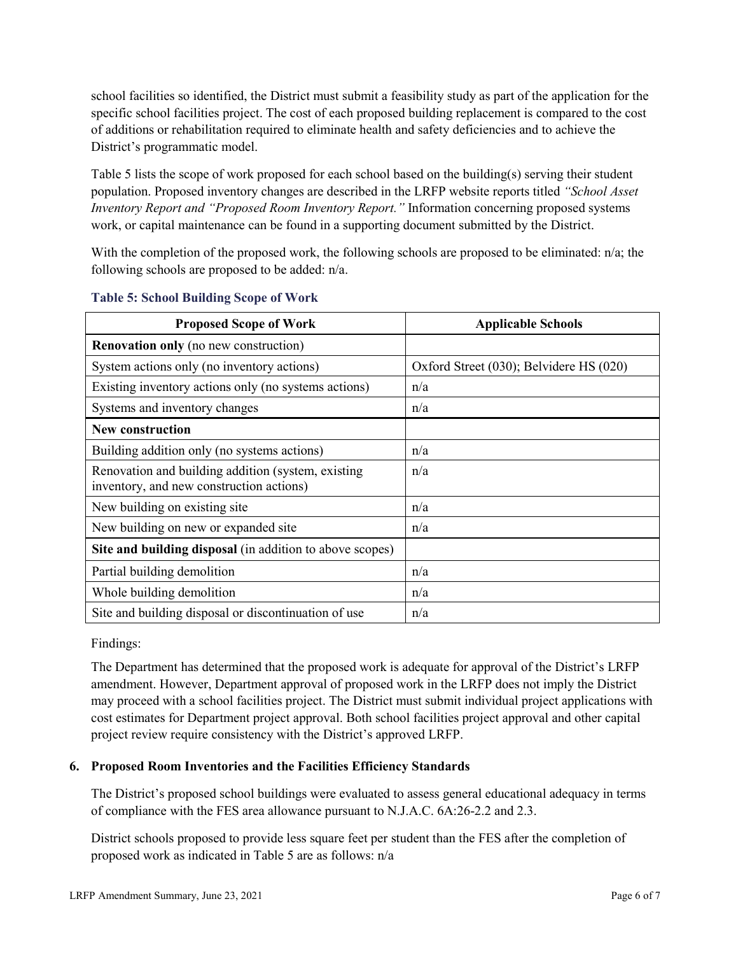school facilities so identified, the District must submit a feasibility study as part of the application for the specific school facilities project. The cost of each proposed building replacement is compared to the cost of additions or rehabilitation required to eliminate health and safety deficiencies and to achieve the District's programmatic model.

Table 5 lists the scope of work proposed for each school based on the building(s) serving their student population. Proposed inventory changes are described in the LRFP website reports titled *"School Asset Inventory Report and "Proposed Room Inventory Report."* Information concerning proposed systems work, or capital maintenance can be found in a supporting document submitted by the District.

With the completion of the proposed work, the following schools are proposed to be eliminated: n/a; the following schools are proposed to be added: n/a.

| <b>Proposed Scope of Work</b>                                                                  | <b>Applicable Schools</b>               |
|------------------------------------------------------------------------------------------------|-----------------------------------------|
| <b>Renovation only</b> (no new construction)                                                   |                                         |
| System actions only (no inventory actions)                                                     | Oxford Street (030); Belvidere HS (020) |
| Existing inventory actions only (no systems actions)                                           | n/a                                     |
| Systems and inventory changes                                                                  | n/a                                     |
| New construction                                                                               |                                         |
| Building addition only (no systems actions)                                                    | n/a                                     |
| Renovation and building addition (system, existing<br>inventory, and new construction actions) | n/a                                     |
| New building on existing site                                                                  | n/a                                     |
| New building on new or expanded site                                                           | n/a                                     |
| Site and building disposal (in addition to above scopes)                                       |                                         |
| Partial building demolition                                                                    | n/a                                     |
| Whole building demolition                                                                      | n/a                                     |
| Site and building disposal or discontinuation of use                                           | n/a                                     |

#### **Table 5: School Building Scope of Work**

Findings:

The Department has determined that the proposed work is adequate for approval of the District's LRFP amendment. However, Department approval of proposed work in the LRFP does not imply the District may proceed with a school facilities project. The District must submit individual project applications with cost estimates for Department project approval. Both school facilities project approval and other capital project review require consistency with the District's approved LRFP.

# **6. Proposed Room Inventories and the Facilities Efficiency Standards**

The District's proposed school buildings were evaluated to assess general educational adequacy in terms of compliance with the FES area allowance pursuant to N.J.A.C. 6A:26-2.2 and 2.3.

District schools proposed to provide less square feet per student than the FES after the completion of proposed work as indicated in Table 5 are as follows: n/a